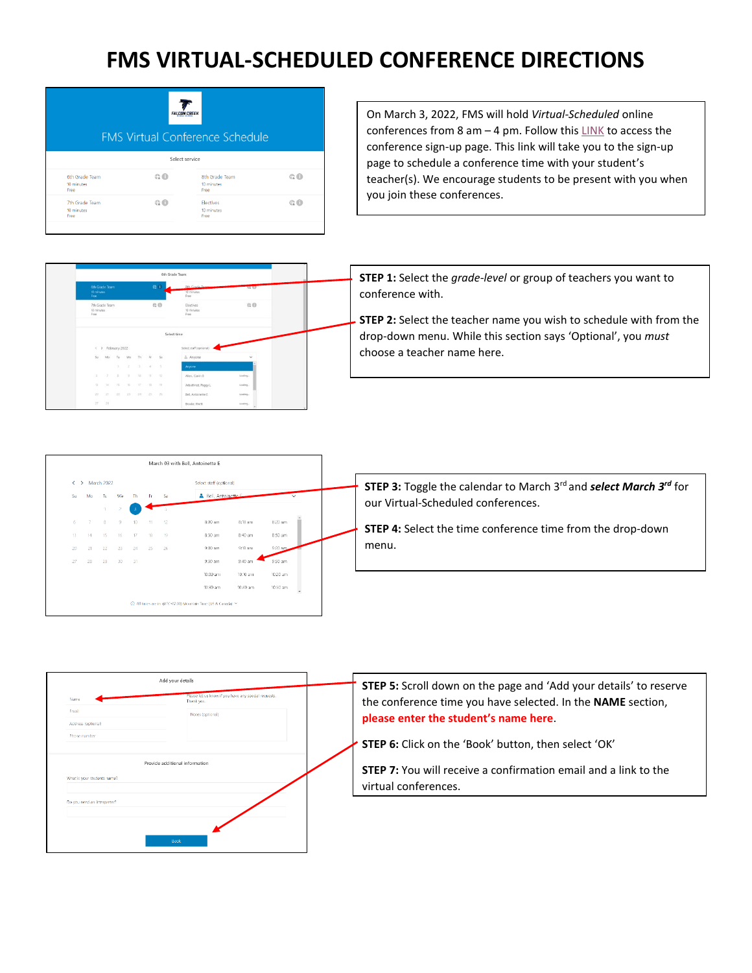## **FMS VIRTUAL-SCHEDULED CONFERENCE DIRECTIONS**

| <b>FALCON CREEK</b><br><b>FMS Virtual Conference Schedule</b> |       |                                      |       |  |  |
|---------------------------------------------------------------|-------|--------------------------------------|-------|--|--|
|                                                               |       | Select service                       |       |  |  |
| 6th Grade Team<br>10 minutes<br>Free                          | @     | 8th Grade Team<br>10 minutes<br>Free | @     |  |  |
| 7th Grade Team<br>10 minutes<br>Free                          | $@$ 0 | Electives<br>10 minutes<br>Free      | $@$ O |  |  |

6th Grade Tear

 $10^{\circ}$  -  $10^{\circ}$ 

 $00$ 

On March 3, 2022, FMS will hold *Virtual-Scheduled* online conferences from 8 am – 4 pm. Follow thi[s LINK](https://outlook.office365.com/owa/calendar/FMSConferenceSchedule@cherrycreekschoolsorg.onmicrosoft.com/bookings/) to access the conference sign-up page. This link will take you to the sign-up page to schedule a conference time with your student's teacher(s). We encourage students to be present with you when you join these conferences.

**STEP 1:** Select the *grade-level* or group of teachers you want to conference with.

**STEP 2:** Select the teacher name you wish to schedule with from the drop-down menu. While this section says 'Optional', you *must* choose a teacher name here.